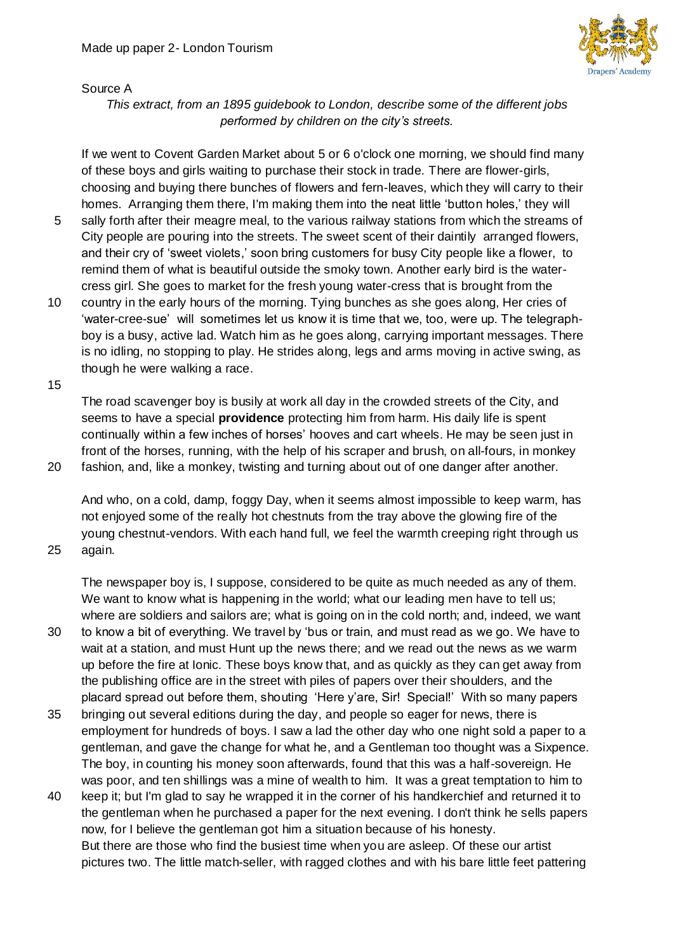

#### Source A

*This extract, from an 1895 guidebook to London, describe some of the different jobs performed by children on the city's streets.*

If we went to Covent Garden Market about 5 or 6 o'clock one morning, we should find many of these boys and girls waiting to purchase their stock in trade. There are flower-girls, choosing and buying there bunches of flowers and fern-leaves, which they will carry to their homes. Arranging them there, I'm making them into the neat little 'button holes,' they will

- 5 sally forth after their meagre meal, to the various railway stations from which the streams of City people are pouring into the streets. The sweet scent of their daintily arranged flowers, and their cry of 'sweet violets,' soon bring customers for busy City people like a flower, to remind them of what is beautiful outside the smoky town. Another early bird is the watercress girl. She goes to market for the fresh young water-cress that is brought from the
- 10 country in the early hours of the morning. Tying bunches as she goes along, Her cries of 'water-cree-sue' will sometimes let us know it is time that we, too, were up. The telegraphboy is a busy, active lad. Watch him as he goes along, carrying important messages. There is no idling, no stopping to play. He strides along, legs and arms moving in active swing, as though he were walking a race.

15

The road scavenger boy is busily at work all day in the crowded streets of the City, and seems to have a special **providence** protecting him from harm. His daily life is spent continually within a few inches of horses' hooves and cart wheels. He may be seen just in front of the horses, running, with the help of his scraper and brush, on all-fours, in monkey 20 fashion, and, like a monkey, twisting and turning about out of one danger after another.

And who, on a cold, damp, foggy Day, when it seems almost impossible to keep warm, has not enjoyed some of the really hot chestnuts from the tray above the glowing fire of the young chestnut-vendors. With each hand full, we feel the warmth creeping right through us 25 again.

The newspaper boy is, I suppose, considered to be quite as much needed as any of them. We want to know what is happening in the world; what our leading men have to tell us; where are soldiers and sailors are; what is going on in the cold north; and, indeed, we want

- 30 to know a bit of everything. We travel by 'bus or train, and must read as we go. We have to wait at a station, and must Hunt up the news there; and we read out the news as we warm up before the fire at Ionic. These boys know that, and as quickly as they can get away from the publishing office are in the street with piles of papers over their shoulders, and the placard spread out before them, shouting 'Here y'are, Sir! Special!' With so many papers
- 35 bringing out several editions during the day, and people so eager for news, there is employment for hundreds of boys. I saw a lad the other day who one night sold a paper to a gentleman, and gave the change for what he, and a Gentleman too thought was a Sixpence. The boy, in counting his money soon afterwards, found that this was a half-sovereign. He was poor, and ten shillings was a mine of wealth to him. It was a great temptation to him to
- 40 keep it; but I'm glad to say he wrapped it in the corner of his handkerchief and returned it to the gentleman when he purchased a paper for the next evening. I don't think he sells papers now, for I believe the gentleman got him a situation because of his honesty. But there are those who find the busiest time when you are asleep. Of these our artist pictures two. The little match-seller, with ragged clothes and with his bare little feet pattering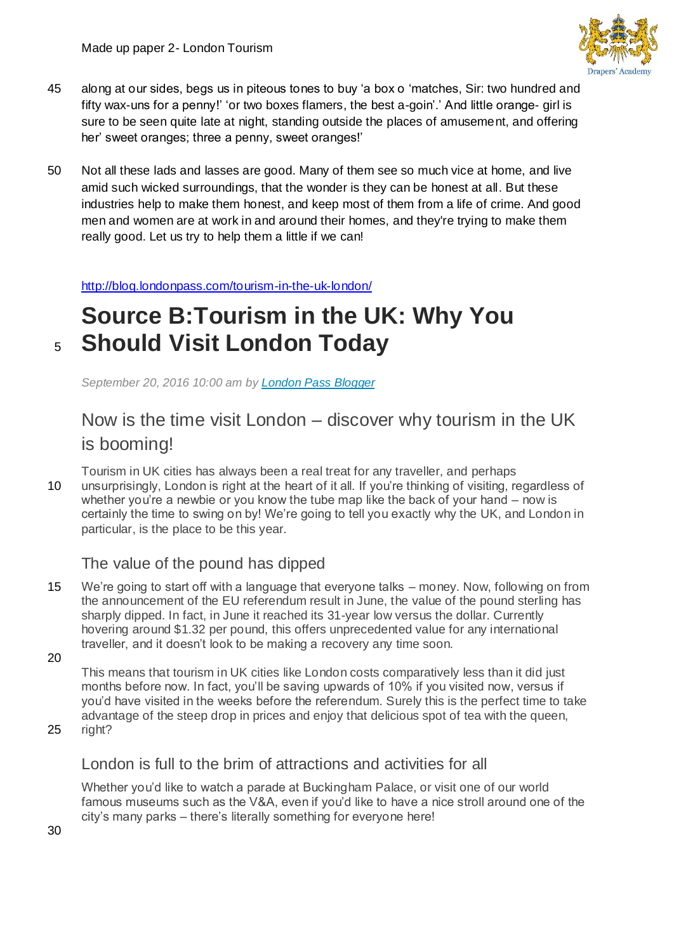

- 45 along at our sides, begs us in piteous tones to buy 'a box o 'matches, Sir: two hundred and fifty wax-uns for a penny!' 'or two boxes flamers, the best a-goin'.' And little orange- girl is sure to be seen quite late at night, standing outside the places of amusement, and offering her' sweet oranges; three a penny, sweet oranges!'
- 50 Not all these lads and lasses are good. Many of them see so much vice at home, and live amid such wicked surroundings, that the wonder is they can be honest at all. But these industries help to make them honest, and keep most of them from a life of crime. And good men and women are at work in and around their homes, and they're trying to make them really good. Let us try to help them a little if we can!

<http://blog.londonpass.com/tourism-in-the-uk-london/>

# **Source B:Tourism in the UK: Why You**  <sup>5</sup> **Should Visit London Today**

*September 20, 2016 10:00 am by [London Pass Blogger](http://blog.londonpass.com/author/fiona/)*

### Now is the time visit London – discover why tourism in the UK is booming!

Tourism in UK cities has always been a real treat for any traveller, and perhaps 10 unsurprisingly, London is right at the heart of it all. If you're thinking of visiting, regardless of whether you're a newbie or you know the tube map like the back of your hand – now is certainly the time to swing on by! We're going to tell you exactly why the UK, and London in particular, is the place to be this year.

#### The value of the pound has dipped

- 15 We're going to start off with a language that everyone talks money. Now, following on from the announcement of the EU referendum result in June, the value of the pound sterling has sharply dipped. In fact, in June it reached its 31-year low versus the dollar. Currently hovering around \$1.32 per pound, this offers unprecedented value for any international traveller, and it doesn't look to be making a recovery any time soon.
- 20

This means that tourism in UK cities like London costs comparatively less than it did just months before now. In fact, you'll be saving upwards of 10% if you visited now, versus if you'd have visited in the weeks before the referendum. Surely this is the perfect time to take advantage of the steep drop in prices and enjoy that delicious spot of tea with the queen,

25 right?

#### London is full to the brim of attractions and activities for all

Whether you'd like to watch a parade at Buckingham Palace, or visit one of our world famous museums such as the V&A, even if you'd like to have a nice stroll around one of the city's many parks – there's literally something for everyone here!

30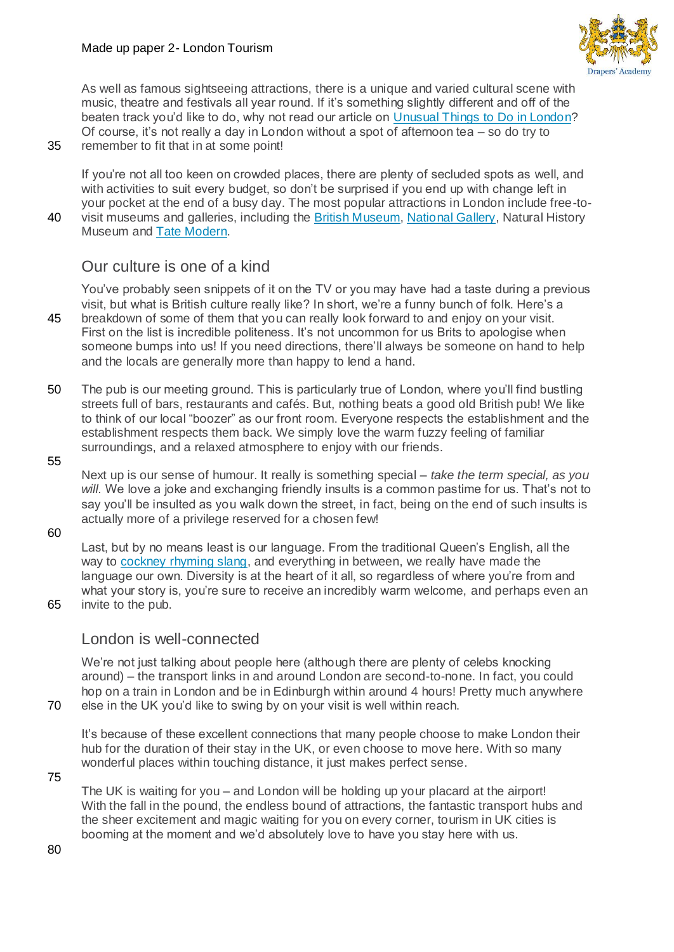

As well as famous sightseeing attractions, there is a unique and varied cultural scene with music, theatre and festivals all year round. If it's something slightly different and off of the beaten track you'd like to do, why not read our article on [Unusual Things to Do in London?](http://blog.londonpass.com/unusual-things-to-do-in-london/) Of course, it's not really a day in London without a spot of afternoon tea – so do try to

35 remember to fit that in at some point!

If you're not all too keen on crowded places, there are plenty of secluded spots as well, and with activities to suit every budget, so don't be surprised if you end up with change left in your pocket at the end of a busy day. The most popular attractions in London include free-to-

40 visit museums and galleries, including the [British Museum,](https://www.londonpass.com/london-attractions/the-british-museum.html) [National Gallery,](https://www.londonpass.com/london-attractions/national-gallery.html) Natural History Museum and [Tate Modern.](https://www.londonpass.com/london-attractions/tate-modern.html)

#### Our culture is one of a kind

You've probably seen snippets of it on the TV or you may have had a taste during a previous visit, but what is British culture really like? In short, we're a funny bunch of folk. Here's a 45 breakdown of some of them that you can really look forward to and enjoy on your visit. First on the list is incredible politeness. It's not uncommon for us Brits to apologise when someone bumps into us! If you need directions, there'll always be someone on hand to help and the locals are generally more than happy to lend a hand.

- 50 The pub is our meeting ground. This is particularly true of London, where you'll find bustling streets full of bars, restaurants and cafés. But, nothing beats a good old British pub! We like to think of our local "boozer" as our front room. Everyone respects the establishment and the establishment respects them back. We simply love the warm fuzzy feeling of familiar surroundings, and a relaxed atmosphere to enjoy with our friends.
- 55

Next up is our sense of humour. It really is something special – *take the term special, as you will.* We love a joke and exchanging friendly insults is a common pastime for us. That's not to say you'll be insulted as you walk down the street, in fact, being on the end of such insults is actually more of a privilege reserved for a chosen few!

60

Last, but by no means least is our language. From the traditional Queen's English, all the way to [cockney rhyming slang,](http://blog.londonpass.com/guide-to-cockney-rhyming-slang/) and everything in between, we really have made the language our own. Diversity is at the heart of it all, so regardless of where you're from and what your story is, you're sure to receive an incredibly warm welcome, and perhaps even an 65 invite to the pub.

#### London is well-connected

We're not just talking about people here (although there are plenty of celebs knocking around) – the transport links in and around London are second-to-none. In fact, you could hop on a train in London and be in Edinburgh within around 4 hours! Pretty much anywhere 70 else in the UK you'd like to swing by on your visit is well within reach.

It's because of these excellent connections that many people choose to make London their hub for the duration of their stay in the UK, or even choose to move here. With so many wonderful places within touching distance, it just makes perfect sense.

75

The UK is waiting for you – and London will be holding up your placard at the airport! With the fall in the pound, the endless bound of attractions, the fantastic transport hubs and the sheer excitement and magic waiting for you on every corner, tourism in UK cities is booming at the moment and we'd absolutely love to have you stay here with us.

80